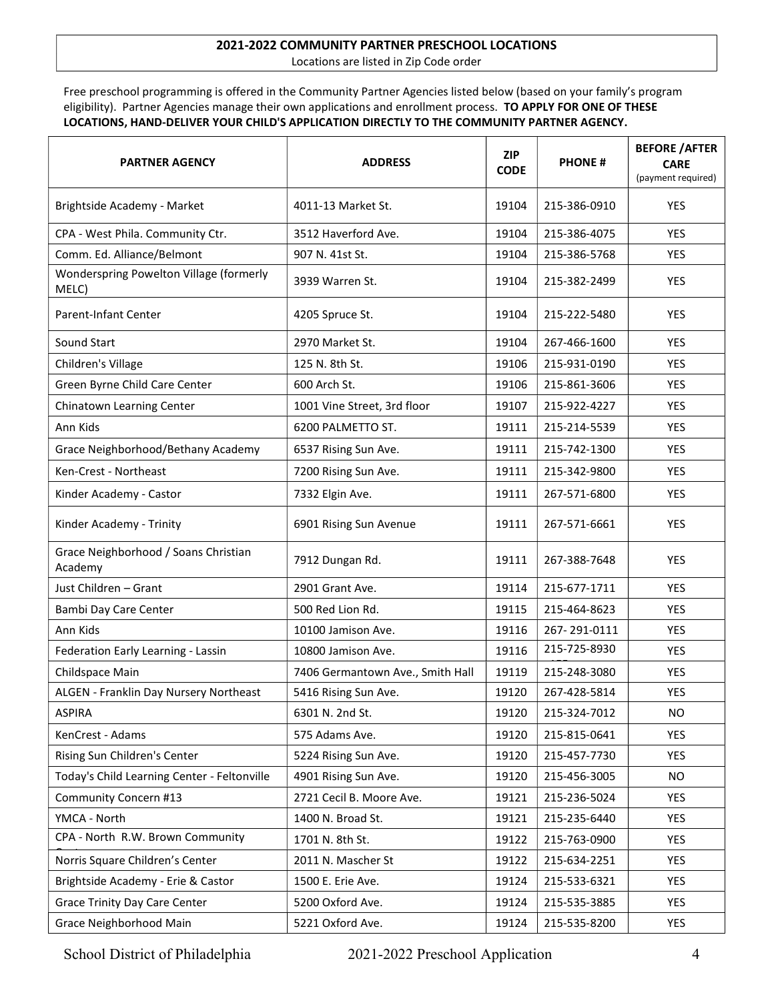## 2021-2022 COMMUNITY PARTNER PRESCHOOL LOCATIONS

Locations are listed in Zip Code order

Free preschool programming is offered in the Community Partner Agencies listed below (based on your family's program eligibility). Partner Agencies manage their own applications and enrollment process. TO APPLY FOR ONE OF THESE LOCATIONS, HAND-DELIVER YOUR CHILD'S APPLICATION DIRECTLY TO THE COMMUNITY PARTNER AGENCY.

| <b>PARTNER AGENCY</b>                            | <b>ADDRESS</b>                   | <b>ZIP</b><br><b>CODE</b> | <b>PHONE#</b> | <b>BEFORE / AFTER</b><br><b>CARE</b><br>(payment required) |
|--------------------------------------------------|----------------------------------|---------------------------|---------------|------------------------------------------------------------|
| Brightside Academy - Market                      | 4011-13 Market St.               | 19104                     | 215-386-0910  | <b>YES</b>                                                 |
| CPA - West Phila. Community Ctr.                 | 3512 Haverford Ave.              | 19104                     | 215-386-4075  | <b>YES</b>                                                 |
| Comm. Ed. Alliance/Belmont                       | 907 N. 41st St.                  | 19104                     | 215-386-5768  | <b>YES</b>                                                 |
| Wonderspring Powelton Village (formerly<br>MELC) | 3939 Warren St.                  | 19104                     | 215-382-2499  | <b>YES</b>                                                 |
| Parent-Infant Center                             | 4205 Spruce St.                  | 19104                     | 215-222-5480  | <b>YES</b>                                                 |
| Sound Start                                      | 2970 Market St.                  | 19104                     | 267-466-1600  | <b>YES</b>                                                 |
| Children's Village                               | 125 N. 8th St.                   | 19106                     | 215-931-0190  | <b>YES</b>                                                 |
| Green Byrne Child Care Center                    | 600 Arch St.                     | 19106                     | 215-861-3606  | YES                                                        |
| Chinatown Learning Center                        | 1001 Vine Street, 3rd floor      | 19107                     | 215-922-4227  | <b>YES</b>                                                 |
| Ann Kids                                         | 6200 PALMETTO ST.                | 19111                     | 215-214-5539  | <b>YES</b>                                                 |
| Grace Neighborhood/Bethany Academy               | 6537 Rising Sun Ave.             | 19111                     | 215-742-1300  | <b>YES</b>                                                 |
| Ken-Crest - Northeast                            | 7200 Rising Sun Ave.             | 19111                     | 215-342-9800  | <b>YES</b>                                                 |
| Kinder Academy - Castor                          | 7332 Elgin Ave.                  | 19111                     | 267-571-6800  | YES                                                        |
| Kinder Academy - Trinity                         | 6901 Rising Sun Avenue           | 19111                     | 267-571-6661  | <b>YES</b>                                                 |
| Grace Neighborhood / Soans Christian<br>Academy  | 7912 Dungan Rd.                  | 19111                     | 267-388-7648  | <b>YES</b>                                                 |
| Just Children - Grant                            | 2901 Grant Ave.                  | 19114                     | 215-677-1711  | <b>YES</b>                                                 |
| Bambi Day Care Center                            | 500 Red Lion Rd.                 | 19115                     | 215-464-8623  | <b>YES</b>                                                 |
| Ann Kids                                         | 10100 Jamison Ave.               | 19116                     | 267-291-0111  | <b>YES</b>                                                 |
| Federation Early Learning - Lassin               | 10800 Jamison Ave.               | 19116                     | 215-725-8930  | <b>YES</b>                                                 |
| Childspace Main                                  | 7406 Germantown Ave., Smith Hall | 19119                     | 215-248-3080  | YES                                                        |
| ALGEN - Franklin Day Nursery Northeast           | 5416 Rising Sun Ave.             | 19120                     | 267-428-5814  | <b>YES</b>                                                 |
| <b>ASPIRA</b>                                    | 6301 N. 2nd St.                  | 19120                     | 215-324-7012  | NO                                                         |
| KenCrest - Adams                                 | 575 Adams Ave.                   | 19120                     | 215-815-0641  | YES                                                        |
| Rising Sun Children's Center                     | 5224 Rising Sun Ave.             | 19120                     | 215-457-7730  | YES                                                        |
| Today's Child Learning Center - Feltonville      | 4901 Rising Sun Ave.             | 19120                     | 215-456-3005  | NO.                                                        |
| Community Concern #13                            | 2721 Cecil B. Moore Ave.         | 19121                     | 215-236-5024  | <b>YES</b>                                                 |
| YMCA - North                                     | 1400 N. Broad St.                | 19121                     | 215-235-6440  | <b>YES</b>                                                 |
| CPA - North R.W. Brown Community                 | 1701 N. 8th St.                  | 19122                     | 215-763-0900  | YES                                                        |
| Norris Square Children's Center                  | 2011 N. Mascher St               | 19122                     | 215-634-2251  | YES                                                        |
| Brightside Academy - Erie & Castor               | 1500 E. Erie Ave.                | 19124                     | 215-533-6321  | YES                                                        |
| <b>Grace Trinity Day Care Center</b>             | 5200 Oxford Ave.                 | 19124                     | 215-535-3885  | YES                                                        |
| Grace Neighborhood Main                          | 5221 Oxford Ave.                 | 19124                     | 215-535-8200  | YES                                                        |

School District of Philadelphia 2021-2022 Preschool Application 4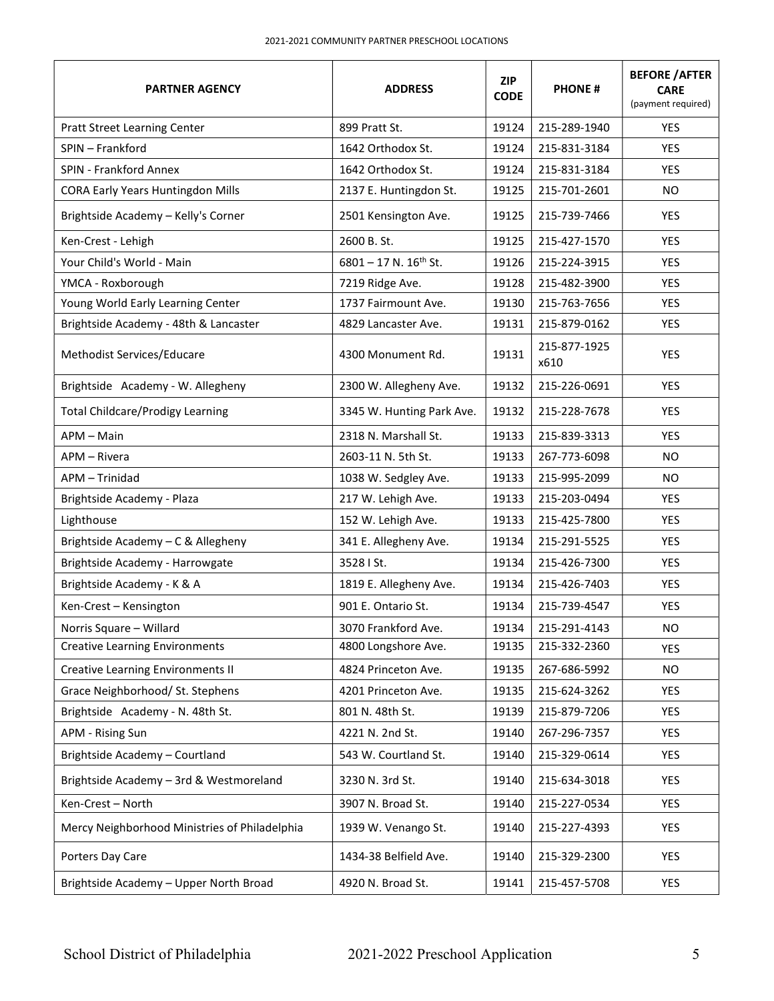| <b>PARTNER AGENCY</b>                         | <b>ADDRESS</b>               | <b>ZIP</b><br><b>CODE</b> | <b>PHONE#</b>        | <b>BEFORE / AFTER</b><br><b>CARE</b><br>(payment required) |
|-----------------------------------------------|------------------------------|---------------------------|----------------------|------------------------------------------------------------|
| <b>Pratt Street Learning Center</b>           | 899 Pratt St.                | 19124                     | 215-289-1940         | <b>YES</b>                                                 |
| SPIN - Frankford                              | 1642 Orthodox St.            | 19124                     | 215-831-3184         | <b>YES</b>                                                 |
| <b>SPIN - Frankford Annex</b>                 | 1642 Orthodox St.            | 19124                     | 215-831-3184         | YES.                                                       |
| <b>CORA Early Years Huntingdon Mills</b>      | 2137 E. Huntingdon St.       | 19125                     | 215-701-2601         | NO.                                                        |
| Brightside Academy - Kelly's Corner           | 2501 Kensington Ave.         | 19125                     | 215-739-7466         | YES                                                        |
| Ken-Crest - Lehigh                            | 2600 B.St.                   | 19125                     | 215-427-1570         | <b>YES</b>                                                 |
| Your Child's World - Main                     | $6801 - 17$ N. $16^{th}$ St. | 19126                     | 215-224-3915         | <b>YES</b>                                                 |
| YMCA - Roxborough                             | 7219 Ridge Ave.              | 19128                     | 215-482-3900         | YES                                                        |
| Young World Early Learning Center             | 1737 Fairmount Ave.          | 19130                     | 215-763-7656         | YES                                                        |
| Brightside Academy - 48th & Lancaster         | 4829 Lancaster Ave.          | 19131                     | 215-879-0162         | YES                                                        |
| Methodist Services/Educare                    | 4300 Monument Rd.            | 19131                     | 215-877-1925<br>x610 | YES                                                        |
| Brightside Academy - W. Allegheny             | 2300 W. Allegheny Ave.       | 19132                     | 215-226-0691         | <b>YES</b>                                                 |
| <b>Total Childcare/Prodigy Learning</b>       | 3345 W. Hunting Park Ave.    | 19132                     | 215-228-7678         | YES                                                        |
| APM - Main                                    | 2318 N. Marshall St.         | 19133                     | 215-839-3313         | <b>YES</b>                                                 |
| APM - Rivera                                  | 2603-11 N. 5th St.           | 19133                     | 267-773-6098         | <b>NO</b>                                                  |
| APM - Trinidad                                | 1038 W. Sedgley Ave.         | 19133                     | 215-995-2099         | <b>NO</b>                                                  |
| Brightside Academy - Plaza                    | 217 W. Lehigh Ave.           | 19133                     | 215-203-0494         | <b>YES</b>                                                 |
| Lighthouse                                    | 152 W. Lehigh Ave.           | 19133                     | 215-425-7800         | <b>YES</b>                                                 |
| Brightside Academy - C & Allegheny            | 341 E. Allegheny Ave.        | 19134                     | 215-291-5525         | <b>YES</b>                                                 |
| Brightside Academy - Harrowgate               | 3528   St.                   | 19134                     | 215-426-7300         | YES                                                        |
| Brightside Academy - K & A                    | 1819 E. Allegheny Ave.       | 19134                     | 215-426-7403         | YES                                                        |
| Ken-Crest - Kensington                        | 901 E. Ontario St.           | 19134                     | 215-739-4547         | YES                                                        |
| Norris Square - Willard                       | 3070 Frankford Ave.          | 19134                     | 215-291-4143         | <b>NO</b>                                                  |
| <b>Creative Learning Environments</b>         | 4800 Longshore Ave.          | 19135                     | 215-332-2360         | <b>YES</b>                                                 |
| <b>Creative Learning Environments II</b>      | 4824 Princeton Ave.          | 19135                     | 267-686-5992         | <b>NO</b>                                                  |
| Grace Neighborhood/ St. Stephens              | 4201 Princeton Ave.          | 19135                     | 215-624-3262         | <b>YES</b>                                                 |
| Brightside Academy - N. 48th St.              | 801 N. 48th St.              | 19139                     | 215-879-7206         | <b>YES</b>                                                 |
| APM - Rising Sun                              | 4221 N. 2nd St.              | 19140                     | 267-296-7357         | YES                                                        |
| Brightside Academy - Courtland                | 543 W. Courtland St.         | 19140                     | 215-329-0614         | YES                                                        |
| Brightside Academy - 3rd & Westmoreland       | 3230 N. 3rd St.              | 19140                     | 215-634-3018         | YES                                                        |
| Ken-Crest - North                             | 3907 N. Broad St.            | 19140                     | 215-227-0534         | YES                                                        |
| Mercy Neighborhood Ministries of Philadelphia | 1939 W. Venango St.          | 19140                     | 215-227-4393         | <b>YES</b>                                                 |
| Porters Day Care                              | 1434-38 Belfield Ave.        | 19140                     | 215-329-2300         | YES                                                        |
| Brightside Academy - Upper North Broad        | 4920 N. Broad St.            | 19141                     | 215-457-5708         | YES                                                        |